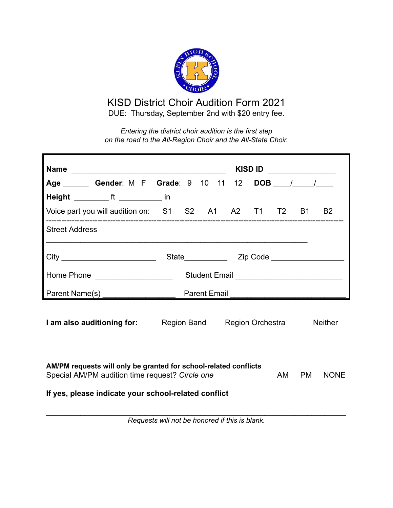

## KISD District Choir Audition Form 2021 DUE: Thursday, September 2nd with \$20 entry fee.

*Entering the district choir audition is the first step on the road to the All-Region Choir and the All-State Choir.*

|                                                                                                         | KISD ID _______________                                                                  |  |
|---------------------------------------------------------------------------------------------------------|------------------------------------------------------------------------------------------|--|
|                                                                                                         | Age ________ Gender: M F Grade: 9 10 11 12 DOB ____/ ____/                               |  |
| Height __________ ft ____________ in                                                                    |                                                                                          |  |
|                                                                                                         | Voice part you will audition on: S1 S2 A1 A2 T1 T2 B1 B2                                 |  |
| <b>Street Address</b>                                                                                   |                                                                                          |  |
| City _______________________________                                                                    |                                                                                          |  |
| Home Phone ____________________                                                                         | Student Email _________________________________                                          |  |
| Parent Name(s) ____________________                                                                     |                                                                                          |  |
|                                                                                                         | <b>I am also auditioning for:</b> Region Band Region Orchestra<br><b>Neither</b>         |  |
| Special AM/PM audition time request? Circle one<br>If yes, please indicate your school-related conflict | AM/PM requests will only be granted for school-related conflicts<br>AM PM<br><b>NONE</b> |  |

*Requests will not be honored if this is blank.*